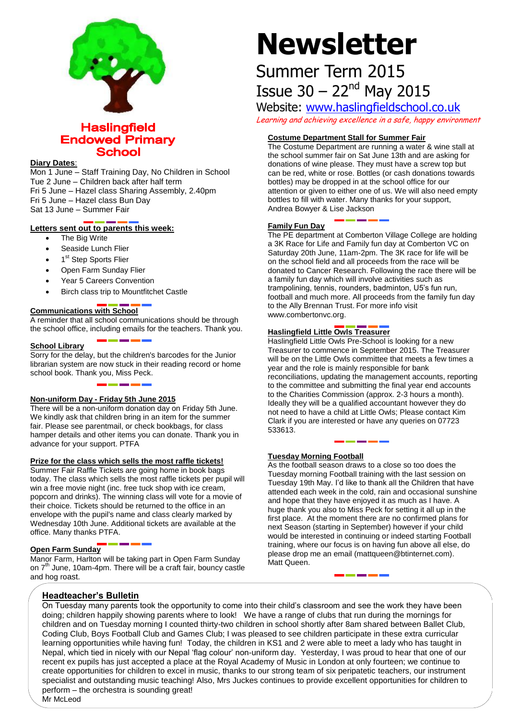

**Haslingfield Endowed Primary School** 

#### **Diary Dates**:

Mon 1 June – Staff Training Day, No Children in School Tue 2 June – Children back after half term Fri 5 June – Hazel class Sharing Assembly, 2.40pm Fri 5 June – Hazel class Bun Day Sat 13 June – Summer Fair

#### **Letters sent out to parents this week:**

- The Big Write
- Seaside Lunch Flier
- 1<sup>st</sup> Step Sports Flier
- Open Farm Sunday Flier
- Year 5 Careers Convention
- Birch class trip to Mountfitchet Castle

#### **Communications with School**

A reminder that all school communications should be through the school office, including emails for the teachers. Thank you.

#### **School Library**

Sorry for the delay, but the children's barcodes for the Junior librarian system are now stuck in their reading record or home school book. Thank you, Miss Peck.

#### **Non-uniform Day - Friday 5th June 2015**

There will be a non-uniform donation day on Friday 5th June. We kindly ask that children bring in an item for the summer fair. Please see parentmail, or check bookbags, for class hamper details and other items you can donate. Thank you in advance for your support. PTFA

#### **Prize for the class which sells the most raffle tickets!**

Summer Fair Raffle Tickets are going home in book bags today. The class which sells the most raffle tickets per pupil will win a free movie night (inc. free tuck shop with ice cream, popcorn and drinks). The winning class will vote for a movie of their choice. Tickets should be returned to the office in an envelope with the pupil's name and class clearly marked by Wednesday 10th June. Additional tickets are available at the office. Many thanks PTFA.

#### **Open Farm Sunday**

Manor Farm, Harlton will be taking part in Open Farm Sunday on  $7<sup>th</sup>$  June, 10am-4pm. There will be a craft fair, bouncy castle and hog roast.

# **Newsletter**

## Summer Term 2015

### Issue  $30 - 22<sup>nd</sup>$  May 2015

Website: [www.haslingfieldschool.co.uk](http://www.haslingfieldschool.co.uk/) Learning and achieving excellence in a safe, happy environment

#### **Costume Department Stall for Summer Fair**

The Costume Department are running a water & wine stall at the school summer fair on Sat June 13th and are asking for donations of wine please. They must have a screw top but can be red, white or rose. Bottles (or cash donations towards bottles) may be dropped in at the school office for our attention or given to either one of us. We will also need empty bottles to fill with water. Many thanks for your support, Andrea Bowyer & Lise Jackson

#### **Family Fun Day**

The PE department at Comberton Village College are holding a 3K Race for Life and Family fun day at Comberton VC on Saturday 20th June, 11am-2pm. The 3K race for life will be on the school field and all proceeds from the race will be donated to Cancer Research. Following the race there will be a family fun day which will involve activities such as trampolining, tennis, rounders, badminton, U5's fun run, football and much more. All proceeds from the family fun day to the Ally Brennan Trust. For more info visit www.combertonvc.org.

#### **Haslingfield Little Owls Treasurer**

Haslingfield Little Owls Pre-School is looking for a new Treasurer to commence in September 2015. The Treasurer will be on the Little Owls committee that meets a few times a year and the role is mainly responsible for bank reconciliations, updating the management accounts, reporting to the committee and submitting the final year end accounts to the Charities Commission (approx. 2-3 hours a month). Ideally they will be a qualified accountant however they do not need to have a child at Little Owls; Please contact Kim Clark if you are interested or have any queries on 07723 533613.

#### **Tuesday Morning Football**

As the football season draws to a close so too does the Tuesday morning Football training with the last session on Tuesday 19th May. I'd like to thank all the Children that have attended each week in the cold, rain and occasional sunshine and hope that they have enjoyed it as much as I have. A huge thank you also to Miss Peck for setting it all up in the first place. At the moment there are no confirmed plans for next Season (starting in September) however if your child would be interested in continuing or indeed starting Football training, where our focus is on having fun above all else, do please drop me an email (mattqueen@btinternet.com). Matt Queen.

#### **Headteacher's Bulletin**

On Tuesday many parents took the opportunity to come into their child's classroom and see the work they have been doing; children happily showing parents where to look! We have a range of clubs that run during the mornings for children and on Tuesday morning I counted thirty-two children in school shortly after 8am shared between Ballet Club, Coding Club, Boys Football Club and Games Club; I was pleased to see children participate in these extra curricular learning opportunities while having fun! Today, the children in KS1 and 2 were able to meet a lady who has taught in Nepal, which tied in nicely with our Nepal 'flag colour' non-uniform day. Yesterday, I was proud to hear that one of our recent ex pupils has just accepted a place at the Royal Academy of Music in London at only fourteen; we continue to create opportunities for children to excel in music, thanks to our strong team of six peripatetic teachers, our instrument specialist and outstanding music teaching! Also, Mrs Juckes continues to provide excellent opportunities for children to perform – the orchestra is sounding great! Mr McLeod